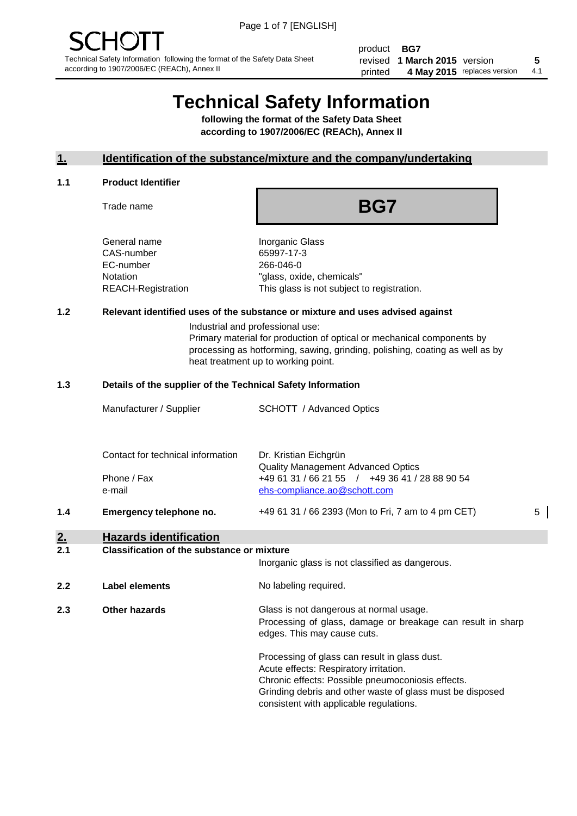product **BG7** revised **5 1 March 2015** version printed 4 May 2015 replaces version 4.1

# **Technical Safety Information**

**following the format of the Safety Data Sheet according to 1907/2006/EC (REACh), Annex II**

# **1. Identification of the substance/mixture and the company/undertaking**

#### **1.1 Product Identifier**

Trade name

# **BG7**

General name **Inorganic Glass** CAS-number 65997-17-3 EC-number 266-046-0

Notation "glass, oxide, chemicals" REACH-Registration This glass is not subject to registration.

# **1.2 Relevant identified uses of the substance or mixture and uses advised against**

Industrial and professional use: Primary material for production of optical or mechanical components by processing as hotforming, sawing, grinding, polishing, coating as well as by heat treatment up to working point.

### **1.3 Details of the supplier of the Technical Safety Information**

|     | Manufacturer / Supplier           | <b>SCHOTT</b> / Advanced Optics                                    |   |
|-----|-----------------------------------|--------------------------------------------------------------------|---|
|     |                                   |                                                                    |   |
|     | Contact for technical information | Dr. Kristian Eichgrün<br><b>Quality Management Advanced Optics</b> |   |
|     | Phone / Fax                       | +49 61 31 / 66 21 55 / +49 36 41 / 28 88 90 54                     |   |
|     | e-mail                            | ehs-compliance.ao@schott.com                                       |   |
| 1.4 | Emergency telephone no.           | +49 61 31 / 66 2393 (Mon to Fri, 7 am to 4 pm CET)                 | 5 |
|     |                                   |                                                                    |   |

# **2. Hazards identification**

#### **2.1 Classification of the substance or mixture**

|     |                      | Inorganic glass is not classified as dangerous.                                                                                                                                                                                                      |  |
|-----|----------------------|------------------------------------------------------------------------------------------------------------------------------------------------------------------------------------------------------------------------------------------------------|--|
| 2.2 | Label elements       | No labeling required.                                                                                                                                                                                                                                |  |
| 2.3 | <b>Other hazards</b> | Glass is not dangerous at normal usage.<br>Processing of glass, damage or breakage can result in sharp<br>edges. This may cause cuts.                                                                                                                |  |
|     |                      | Processing of glass can result in glass dust.<br>Acute effects: Respiratory irritation.<br>Chronic effects: Possible pneumoconiosis effects.<br>Grinding debris and other waste of glass must be disposed<br>consistent with applicable regulations. |  |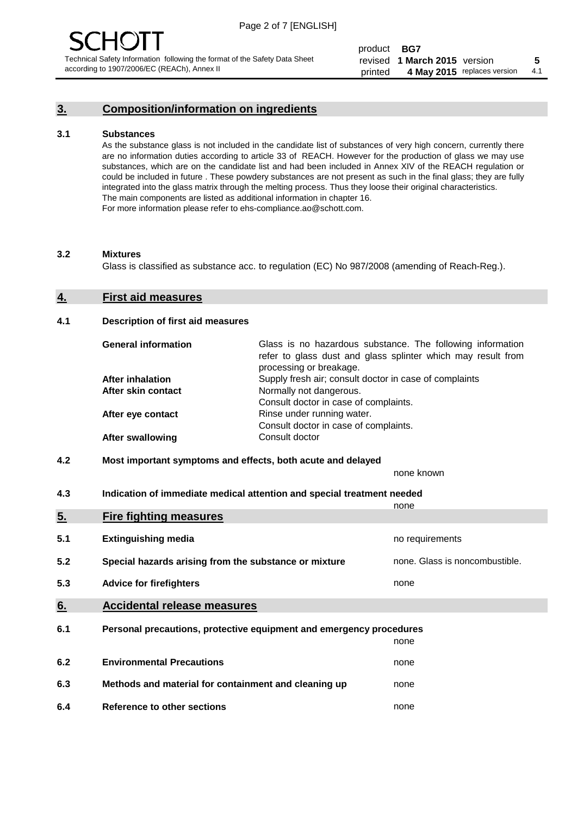# **3. Composition/information on ingredients**

#### **3.1 Substances**

As the substance glass is not included in the candidate list of substances of very high concern, currently there are no information duties according to article 33 of REACH. However for the production of glass we may use substances, which are on the candidate list and had been included in Annex XIV of the REACH regulation or could be included in future . These powdery substances are not present as such in the final glass; they are fully integrated into the glass matrix through the melting process. Thus they loose their original characteristics. The main components are listed as additional information in chapter 16. For more information please refer to ehs-compliance.ao@schott.com.

#### **3.2 Mixtures**

Glass is classified as substance acc. to regulation (EC) No 987/2008 (amending of Reach-Reg.).

#### **4. First aid measures**

#### **4.1 Description of first aid measures**

| <b>General information</b> | Glass is no hazardous substance. The following information<br>refer to glass dust and glass splinter which may result from<br>processing or breakage. |
|----------------------------|-------------------------------------------------------------------------------------------------------------------------------------------------------|
| <b>After inhalation</b>    | Supply fresh air; consult doctor in case of complaints                                                                                                |
| After skin contact         | Normally not dangerous.                                                                                                                               |
|                            | Consult doctor in case of complaints.                                                                                                                 |
| After eye contact          | Rinse under running water.                                                                                                                            |
|                            | Consult doctor in case of complaints.                                                                                                                 |
| <b>After swallowing</b>    | Consult doctor                                                                                                                                        |

### **4.2 Most important symptoms and effects, both acute and delayed**

none known

**4.3 Indication of immediate medical attention and special treatment needed** 

|     |                                                                     | none                           |
|-----|---------------------------------------------------------------------|--------------------------------|
| 5.  | <b>Fire fighting measures</b>                                       |                                |
| 5.1 | <b>Extinguishing media</b>                                          | no requirements                |
| 5.2 | Special hazards arising from the substance or mixture               | none. Glass is noncombustible. |
| 5.3 | <b>Advice for firefighters</b>                                      | none                           |
| 6.  | <b>Accidental release measures</b>                                  |                                |
| 6.1 | Personal precautions, protective equipment and emergency procedures |                                |
|     |                                                                     | none                           |
| 6.2 | <b>Environmental Precautions</b>                                    | none                           |
| 6.3 | Methods and material for containment and cleaning up                | none                           |
| 6.4 | Reference to other sections                                         | none                           |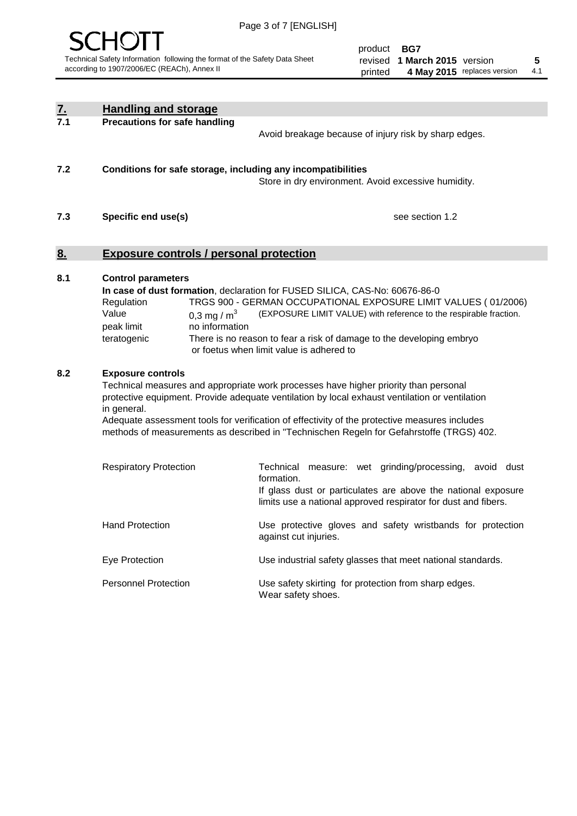

product **BG7** revised **5 1 March 2015** version printed 4 May 2015 replaces version 4.1

| <u>7.</u> | <b>Handling and storage</b>                                                                                                                                                                                                                                                                                                                                                                                                    |                                                                                                                                                                                                                                                                                                                                        |
|-----------|--------------------------------------------------------------------------------------------------------------------------------------------------------------------------------------------------------------------------------------------------------------------------------------------------------------------------------------------------------------------------------------------------------------------------------|----------------------------------------------------------------------------------------------------------------------------------------------------------------------------------------------------------------------------------------------------------------------------------------------------------------------------------------|
| 7.1       | <b>Precautions for safe handling</b>                                                                                                                                                                                                                                                                                                                                                                                           | Avoid breakage because of injury risk by sharp edges.                                                                                                                                                                                                                                                                                  |
| 7.2       | Conditions for safe storage, including any incompatibilities                                                                                                                                                                                                                                                                                                                                                                   | Store in dry environment. Avoid excessive humidity.                                                                                                                                                                                                                                                                                    |
| 7.3       | Specific end use(s)                                                                                                                                                                                                                                                                                                                                                                                                            | see section 1.2                                                                                                                                                                                                                                                                                                                        |
| 8.        | <b>Exposure controls / personal protection</b>                                                                                                                                                                                                                                                                                                                                                                                 |                                                                                                                                                                                                                                                                                                                                        |
| 8.1       | <b>Control parameters</b><br>Regulation<br>Value<br>0,3 mg / $m3$<br>no information<br>peak limit<br>teratogenic                                                                                                                                                                                                                                                                                                               | In case of dust formation, declaration for FUSED SILICA, CAS-No: 60676-86-0<br>TRGS 900 - GERMAN OCCUPATIONAL EXPOSURE LIMIT VALUES (01/2006)<br>(EXPOSURE LIMIT VALUE) with reference to the respirable fraction.<br>There is no reason to fear a risk of damage to the developing embryo<br>or foetus when limit value is adhered to |
| 8.2       | <b>Exposure controls</b><br>Technical measures and appropriate work processes have higher priority than personal<br>protective equipment. Provide adequate ventilation by local exhaust ventilation or ventilation<br>in general.<br>Adequate assessment tools for verification of effectivity of the protective measures includes<br>methods of measurements as described in "Technischen Regeln for Gefahrstoffe (TRGS) 402. |                                                                                                                                                                                                                                                                                                                                        |
|           | <b>Respiratory Protection</b>                                                                                                                                                                                                                                                                                                                                                                                                  | measure: wet grinding/processing, avoid dust<br>Technical<br>formation.<br>If glass dust or particulates are above the national exposure<br>limits use a national approved respirator for dust and fibers.                                                                                                                             |
|           | <b>Hand Protection</b>                                                                                                                                                                                                                                                                                                                                                                                                         | Use protective gloves and safety wristbands for protection<br>against cut injuries.                                                                                                                                                                                                                                                    |
|           | Eye Protection                                                                                                                                                                                                                                                                                                                                                                                                                 | Use industrial safety glasses that meet national standards.                                                                                                                                                                                                                                                                            |
|           | <b>Personnel Protection</b>                                                                                                                                                                                                                                                                                                                                                                                                    | Use safety skirting for protection from sharp edges.<br>Wear safety shoes.                                                                                                                                                                                                                                                             |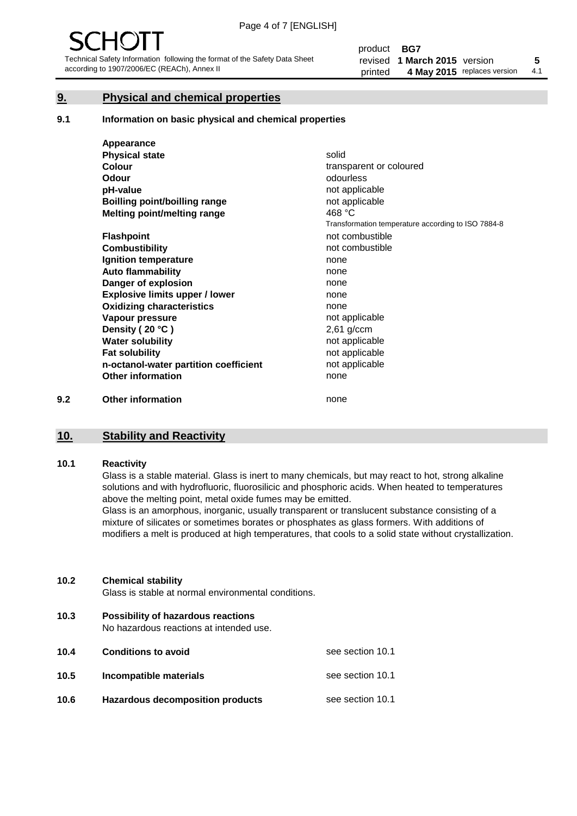# **9. Physical and chemical properties**

#### **9.1 Information on basic physical and chemical properties**

|     | Appearance                            |                                                    |
|-----|---------------------------------------|----------------------------------------------------|
|     | <b>Physical state</b>                 | solid                                              |
|     | <b>Colour</b>                         | transparent or coloured                            |
|     | Odour                                 | odourless                                          |
|     | pH-value                              | not applicable                                     |
|     | <b>Boilling point/boilling range</b>  | not applicable                                     |
|     | Melting point/melting range           | 468 °C                                             |
|     |                                       | Transformation temperature according to ISO 7884-8 |
|     | <b>Flashpoint</b>                     | not combustible                                    |
|     | <b>Combustibility</b>                 | not combustible                                    |
|     | Ignition temperature                  | none                                               |
|     | <b>Auto flammability</b>              | none                                               |
|     | Danger of explosion                   | none                                               |
|     | <b>Explosive limits upper / lower</b> | none                                               |
|     | <b>Oxidizing characteristics</b>      | none                                               |
|     | Vapour pressure                       | not applicable                                     |
|     | Density (20 °C)                       | $2,61$ g/ccm                                       |
|     | <b>Water solubility</b>               | not applicable                                     |
|     | <b>Fat solubility</b>                 | not applicable                                     |
|     | n-octanol-water partition coefficient | not applicable                                     |
|     | <b>Other information</b>              | none                                               |
| 9.2 | <b>Other information</b>              | none                                               |

# **10. Stability and Reactivity**

#### **10.1 Reactivity**

Glass is a stable material. Glass is inert to many chemicals, but may react to hot, strong alkaline solutions and with hydrofluoric, fluorosilicic and phosphoric acids. When heated to temperatures above the melting point, metal oxide fumes may be emitted.

Glass is an amorphous, inorganic, usually transparent or translucent substance consisting of a mixture of silicates or sometimes borates or phosphates as glass formers. With additions of modifiers a melt is produced at high temperatures, that cools to a solid state without crystallization.

#### **10.2 Chemical stability**

Glass is stable at normal environmental conditions.

**10.3 Possibility of hazardous reactions** 

No hazardous reactions at intended use.

| 10.4 | <b>Conditions to avoid</b>              | see section 10.1 |
|------|-----------------------------------------|------------------|
| 10.5 | Incompatible materials                  | see section 10.1 |
| 10.6 | <b>Hazardous decomposition products</b> | see section 10.1 |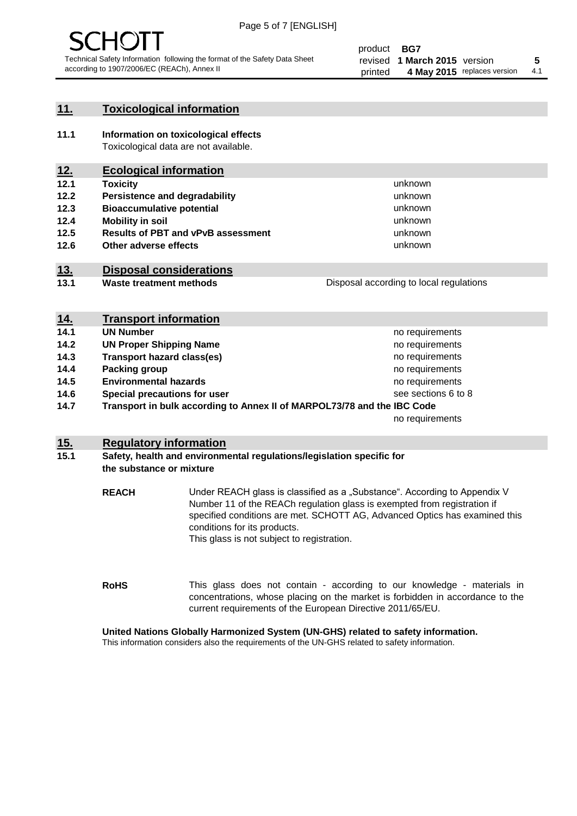

# **11. Toxicological information**

**11.1 Information on toxicological effects** Toxicological data are not available.

# **12. Ecological information**

- **12.1 Toxicity**
- **12.2 Persistence and degradability**
- **12.3 Bioaccumulative potential**
- **12.4 Mobility in soil**
- **12.5 Results of PBT and vPvB assessment**
- **12.6 Other adverse effects**

# **13. Disposal considerations**

**13.1 Waste treatment methods**

Disposal according to local regulations

unknown unknown unknown unknown

unknown unknown

| <u>14.</u> | <b>Transport information</b>                                            |                     |
|------------|-------------------------------------------------------------------------|---------------------|
| 14.1       | <b>UN Number</b>                                                        | no requirements     |
| 14.2       | <b>UN Proper Shipping Name</b>                                          | no requirements     |
| 14.3       | <b>Transport hazard class(es)</b>                                       | no requirements     |
| 14.4       | Packing group                                                           | no requirements     |
| 14.5       | <b>Environmental hazards</b>                                            | no requirements     |
| 14.6       | Special precautions for user                                            | see sections 6 to 8 |
| 14.7       | Transport in bulk according to Annex II of MARPOL73/78 and the IBC Code |                     |
|            |                                                                         | no requirements     |

## **15. Regulatory information**

### **15.1 Safety, health and environmental regulations/legislation specific for the substance or mixture**

**REACH** Under REACH glass is classified as a "Substance". According to Appendix V Number 11 of the REACh regulation glass is exempted from registration if specified conditions are met. SCHOTT AG, Advanced Optics has examined this conditions for its products. This glass is not subject to registration.

**RoHS** This glass does not contain - according to our knowledge - materials in concentrations, whose placing on the market is forbidden in accordance to the current requirements of the European Directive 2011/65/EU.

## **United Nations Globally Harmonized System (UN-GHS) related to safety information.**

This information considers also the requirements of the UN-GHS related to safety information.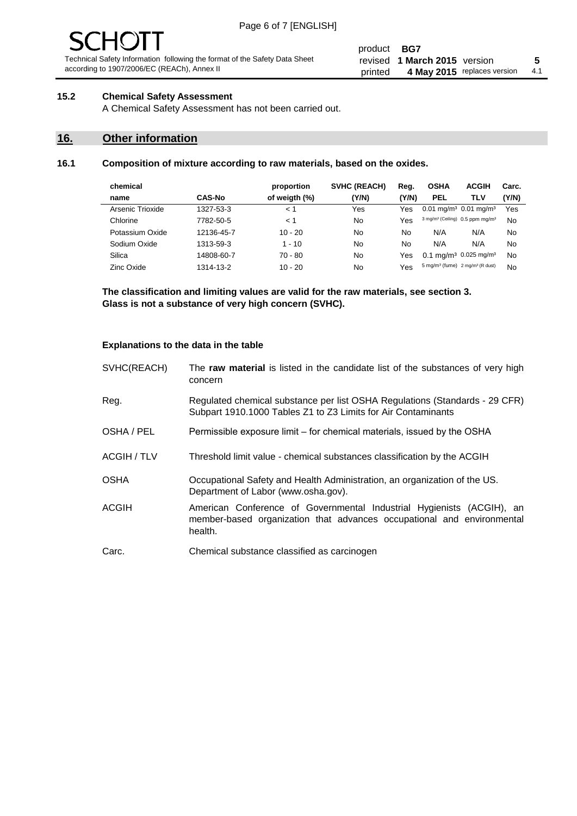#### product **BG7** revised **5 1 March 2015** version printed 4 May 2015 replaces version 4.1

## **15.2 Chemical Safety Assessment**

A Chemical Safety Assessment has not been carried out.

# **16. Other information**

### **16.1 Composition of mixture according to raw materials, based on the oxides.**

| chemical         |               | proportion    | <b>SVHC (REACH)</b> | Reg.  | <b>OSHA</b>                                             | <b>ACGIH</b>                                            | Carc. |
|------------------|---------------|---------------|---------------------|-------|---------------------------------------------------------|---------------------------------------------------------|-------|
| name             | <b>CAS-No</b> | of weigth (%) | (Y/N)               | (Y/N) | <b>PEL</b>                                              | TLV                                                     | (Y/N) |
| Arsenic Trioxide | 1327-53-3     | 1 >           | Yes                 | Yes   | $0.01$ mg/m <sup>3</sup> $0.01$ mg/m <sup>3</sup>       |                                                         | Yes   |
| Chlorine         | 7782-50-5     | < 1           | No                  | Yes   |                                                         | 3 mg/m <sup>3</sup> (Ceiling) 0.5 ppm mg/m <sup>3</sup> | No    |
| Potassium Oxide  | 12136-45-7    | $10 - 20$     | No                  | No    | N/A                                                     | N/A                                                     | No    |
| Sodium Oxide     | 1313-59-3     | $1 - 10$      | No                  | No    | N/A                                                     | N/A                                                     | No    |
| Silica           | 14808-60-7    | $70 - 80$     | No                  | Yes   |                                                         | 0.1 mg/m <sup>3</sup> 0.025 mg/m <sup>3</sup>           | No    |
| Zinc Oxide       | 1314-13-2     | $10 - 20$     | No                  | Yes   | 5 mg/m <sup>3</sup> (fume) 2 mg/m <sup>3</sup> (R dust) |                                                         | No    |

**The classification and limiting values are valid for the raw materials, see section 3. Glass is not a substance of very high concern (SVHC).**

#### **Explanations to the data in the table**

| SVHC(REACH)        | The raw material is listed in the candidate list of the substances of very high<br>concern                                                                 |
|--------------------|------------------------------------------------------------------------------------------------------------------------------------------------------------|
| Reg.               | Regulated chemical substance per list OSHA Regulations (Standards - 29 CFR)<br>Subpart 1910.1000 Tables Z1 to Z3 Limits for Air Contaminants               |
| OSHA / PEL         | Permissible exposure limit – for chemical materials, issued by the OSHA                                                                                    |
| <b>ACGIH / TLV</b> | Threshold limit value - chemical substances classification by the ACGIH                                                                                    |
| <b>OSHA</b>        | Occupational Safety and Health Administration, an organization of the US.<br>Department of Labor (www.osha.gov).                                           |
| <b>ACGIH</b>       | American Conference of Governmental Industrial Hygienists (ACGIH), an<br>member-based organization that advances occupational and environmental<br>health. |
| Carc.              | Chemical substance classified as carcinogen                                                                                                                |